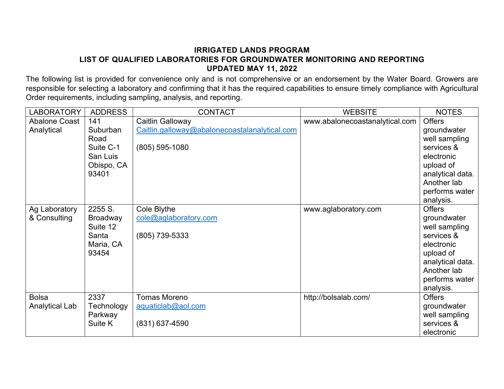## **IRRIGATED LANDS PROGRAM LIST OF QUALIFIED LABORATORIES FOR GROUNDWATER MONITORING AND REPORTING UPDATED MAY 11, 2022**

The following list is provided for convenience only and is not comprehensive or an endorsement by the Water Board. Growers are responsible for selecting a laboratory and confirming that it has the required capabilities to ensure timely compliance with Agricultural Order requirements, including sampling, analysis, and reporting.

| <b>LABORATORY</b>                  | <b>ADDRESS</b>                                                          | <b>CONTACT</b>                                                                        | <b>WEBSITE</b>                 | <b>NOTES</b>                                                                                                                                             |
|------------------------------------|-------------------------------------------------------------------------|---------------------------------------------------------------------------------------|--------------------------------|----------------------------------------------------------------------------------------------------------------------------------------------------------|
| <b>Abalone Coast</b><br>Analytical | 141<br>Suburban<br>Road<br>Suite C-1<br>San Luis<br>Obispo, CA<br>93401 | Caitlin Galloway<br>Caitlin.galloway@abalonecoastalanalytical.com<br>$(805)$ 595-1080 | www.abalonecoastanalytical.com | <b>Offers</b><br>groundwater<br>well sampling<br>services &<br>electronic<br>upload of<br>analytical data.<br>Another lab<br>performs water<br>analysis. |
| Ag Laboratory<br>& Consulting      | 2255 S.<br><b>Broadway</b><br>Suite 12<br>Santa<br>Maria, CA<br>93454   | Cole Blythe<br>cole@aglaboratory.com<br>(805) 739-5333                                | www.aglaboratory.com           | <b>Offers</b><br>groundwater<br>well sampling<br>services &<br>electronic<br>upload of<br>analytical data.<br>Another lab<br>performs water<br>analysis. |
| <b>Bolsa</b><br>Analytical Lab     | 2337<br>Technology<br>Parkway<br>Suite K                                | <b>Tomas Moreno</b><br>aquaticlab@aol.com<br>(831) 637-4590                           | http://bolsalab.com/           | <b>Offers</b><br>groundwater<br>well sampling<br>services &<br>electronic                                                                                |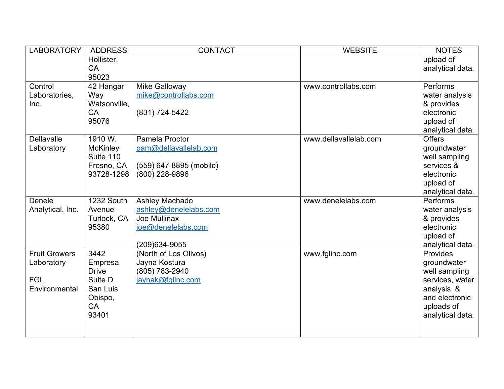| LABORATORY           | <b>ADDRESS</b>               | <b>CONTACT</b>          | <b>WEBSITE</b>        | <b>NOTES</b>                |
|----------------------|------------------------------|-------------------------|-----------------------|-----------------------------|
|                      | Hollister,                   |                         |                       | upload of                   |
|                      | <b>CA</b>                    |                         |                       | analytical data.            |
|                      | 95023                        |                         |                       |                             |
| Control              | 42 Hangar                    | Mike Galloway           | www.controllabs.com   | <b>Performs</b>             |
| Laboratories,        | Way                          | mike@controllabs.com    |                       | water analysis              |
| Inc.                 | Watsonville,                 |                         |                       | & provides                  |
|                      | <b>CA</b>                    | (831) 724-5422          |                       | electronic                  |
|                      | 95076                        |                         |                       | upload of                   |
|                      |                              |                         |                       | analytical data.            |
| <b>Dellavalle</b>    | 1910 W.                      | Pamela Proctor          | www.dellavallelab.com | <b>Offers</b>               |
| Laboratory           | <b>McKinley</b><br>Suite 110 | pam@dellavallelab.com   |                       | groundwater                 |
|                      | Fresno, CA                   | (559) 647-8895 (mobile) |                       | well sampling<br>services & |
|                      | 93728-1298                   | (800) 228-9896          |                       | electronic                  |
|                      |                              |                         |                       | upload of                   |
|                      |                              |                         |                       | analytical data.            |
| Denele               | 1232 South                   | Ashley Machado          | www.denelelabs.com    | Performs                    |
| Analytical, Inc.     | Avenue                       | ashley@denelelabs.com   |                       | water analysis              |
|                      | Turlock, CA                  | Joe Mullinax            |                       | & provides                  |
|                      | 95380                        | joe@denelelabs.com      |                       | electronic                  |
|                      |                              |                         |                       | upload of                   |
|                      |                              | (209) 634-9055          |                       | analytical data.            |
| <b>Fruit Growers</b> | 3442                         | (North of Los Olivos)   | www.fglinc.com        | Provides                    |
| Laboratory           | Empresa                      | Jayna Kostura           |                       | groundwater                 |
|                      | <b>Drive</b>                 | (805) 783-2940          |                       | well sampling               |
| <b>FGL</b>           | Suite D                      | jaynak@fglinc.com       |                       | services, water             |
| Environmental        | San Luis                     |                         |                       | analysis, &                 |
|                      | Obispo,                      |                         |                       | and electronic              |
|                      | <b>CA</b><br>93401           |                         |                       | uploads of                  |
|                      |                              |                         |                       | analytical data.            |
|                      |                              |                         |                       |                             |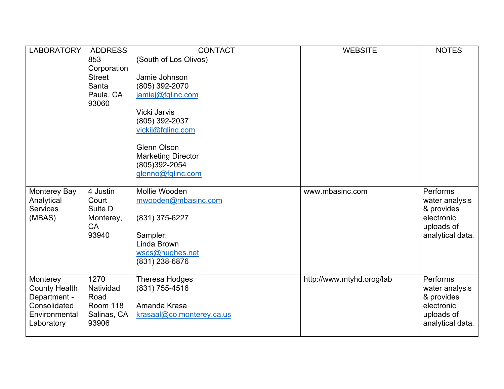| <b>LABORATORY</b>                                                                               | <b>ADDRESS</b>                                                     | <b>CONTACT</b>                                                                                                                                                                                                                | <b>WEBSITE</b>            | <b>NOTES</b>                                                                             |
|-------------------------------------------------------------------------------------------------|--------------------------------------------------------------------|-------------------------------------------------------------------------------------------------------------------------------------------------------------------------------------------------------------------------------|---------------------------|------------------------------------------------------------------------------------------|
|                                                                                                 | 853<br>Corporation<br><b>Street</b><br>Santa<br>Paula, CA<br>93060 | (South of Los Olivos)<br>Jamie Johnson<br>(805) 392-2070<br>jamiej@fglinc.com<br>Vicki Jarvis<br>(805) 392-2037<br>vickij@fglinc.com<br><b>Glenn Olson</b><br><b>Marketing Director</b><br>(805)392-2054<br>glenno@fglinc.com |                           |                                                                                          |
| Monterey Bay<br>Analytical<br><b>Services</b><br>(MBAS)                                         | 4 Justin<br>Court<br>Suite D<br>Monterey,<br>CA<br>93940           | Mollie Wooden<br>mwooden@mbasinc.com<br>(831) 375-6227<br>Sampler:<br>Linda Brown<br>wscs@hughes.net<br>(831) 238-6876                                                                                                        | www.mbasinc.com           | Performs<br>water analysis<br>& provides<br>electronic<br>uploads of<br>analytical data. |
| Monterey<br><b>County Health</b><br>Department -<br>Consolidated<br>Environmental<br>Laboratory | 1270<br>Natividad<br>Road<br>Room 118<br>Salinas, CA<br>93906      | <b>Theresa Hodges</b><br>(831) 755-4516<br>Amanda Krasa<br>krasaal@co.monterey.ca.us                                                                                                                                          | http://www.mtyhd.orog/lab | Performs<br>water analysis<br>& provides<br>electronic<br>uploads of<br>analytical data. |